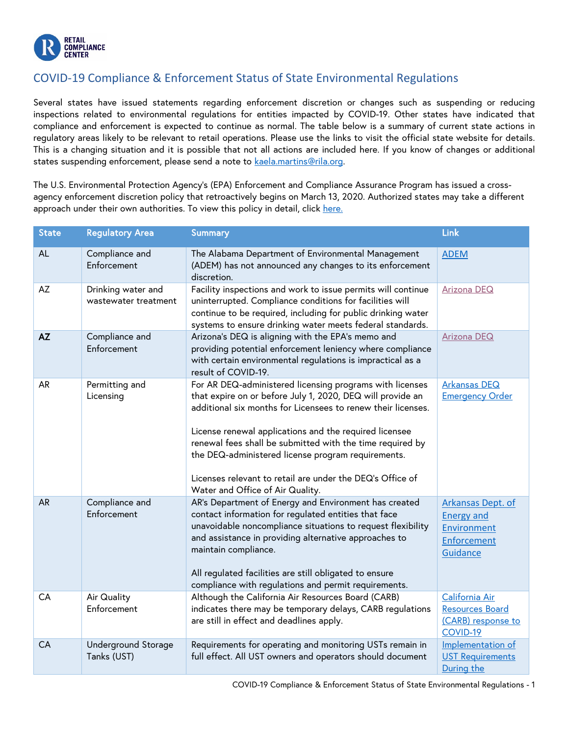

## COVID-19 Compliance & Enforcement Status of State Environmental Regulations

Several states have issued statements regarding enforcement discretion or changes such as suspending or reducing inspections related to environmental regulations for entities impacted by COVID-19. Other states have indicated that compliance and enforcement is expected to continue as normal. The table below is a summary of current state actions in regulatory areas likely to be relevant to retail operations. Please use the links to visit the official state website for details. This is a changing situation and it is possible that not all actions are included here. If you know of changes or additional states suspending enforcement, please send a note to kaela.martins@rila.org.

The U.S. Environmental Protection Agency's (EPA) Enforcement and Compliance Assurance Program has issued a crossagency enforcement discretion policy that retroactively begins on March 13, 2020. Authorized states may take a different approach under their own authorities. To view this policy in detail, click [here.](https://www.epa.gov/sites/production/files/2020-03/documents/oecamemooncovid19implications.pdf)

| <b>State</b> | <b>Regulatory Area</b>                     | <b>Summary</b>                                                                                                                                                                                                                                                                                                                                                                                                                                                       | Link                                                                                    |
|--------------|--------------------------------------------|----------------------------------------------------------------------------------------------------------------------------------------------------------------------------------------------------------------------------------------------------------------------------------------------------------------------------------------------------------------------------------------------------------------------------------------------------------------------|-----------------------------------------------------------------------------------------|
| <b>AL</b>    | Compliance and<br>Enforcement              | The Alabama Department of Environmental Management<br>(ADEM) has not announced any changes to its enforcement<br>discretion.                                                                                                                                                                                                                                                                                                                                         | <b>ADEM</b>                                                                             |
| AZ           | Drinking water and<br>wastewater treatment | Facility inspections and work to issue permits will continue<br>uninterrupted. Compliance conditions for facilities will<br>continue to be required, including for public drinking water<br>systems to ensure drinking water meets federal standards.                                                                                                                                                                                                                | Arizona DEQ                                                                             |
| AZ           | Compliance and<br>Enforcement              | Arizona's DEQ is aligning with the EPA's memo and<br>providing potential enforcement leniency where compliance<br>with certain environmental regulations is impractical as a<br>result of COVID-19.                                                                                                                                                                                                                                                                  | <b>Arizona DEQ</b>                                                                      |
| AR           | Permitting and<br>Licensing                | For AR DEQ-administered licensing programs with licenses<br>that expire on or before July 1, 2020, DEQ will provide an<br>additional six months for Licensees to renew their licenses.<br>License renewal applications and the required licensee<br>renewal fees shall be submitted with the time required by<br>the DEQ-administered license program requirements.<br>Licenses relevant to retail are under the DEQ's Office of<br>Water and Office of Air Quality. | <b>Arkansas DEQ</b><br><b>Emergency Order</b>                                           |
| <b>AR</b>    | Compliance and<br>Enforcement              | AR's Department of Energy and Environment has created<br>contact information for regulated entities that face<br>unavoidable noncompliance situations to request flexibility<br>and assistance in providing alternative approaches to<br>maintain compliance.<br>All regulated facilities are still obligated to ensure<br>compliance with regulations and permit requirements.                                                                                      | <b>Arkansas Dept. of</b><br><b>Energy and</b><br>Environment<br>Enforcement<br>Guidance |
| CA           | Air Quality<br>Enforcement                 | Although the California Air Resources Board (CARB)<br>indicates there may be temporary delays, CARB regulations<br>are still in effect and deadlines apply.                                                                                                                                                                                                                                                                                                          | California Air<br><b>Resources Board</b><br>(CARB) response to<br>COVID-19              |
| <b>CA</b>    | Underground Storage<br>Tanks (UST)         | Requirements for operating and monitoring USTs remain in<br>full effect. All UST owners and operators should document                                                                                                                                                                                                                                                                                                                                                | Implementation of<br><b>UST Requirements</b><br>During the                              |

COVID-19 Compliance & Enforcement Status of State Environmental Regulations - 1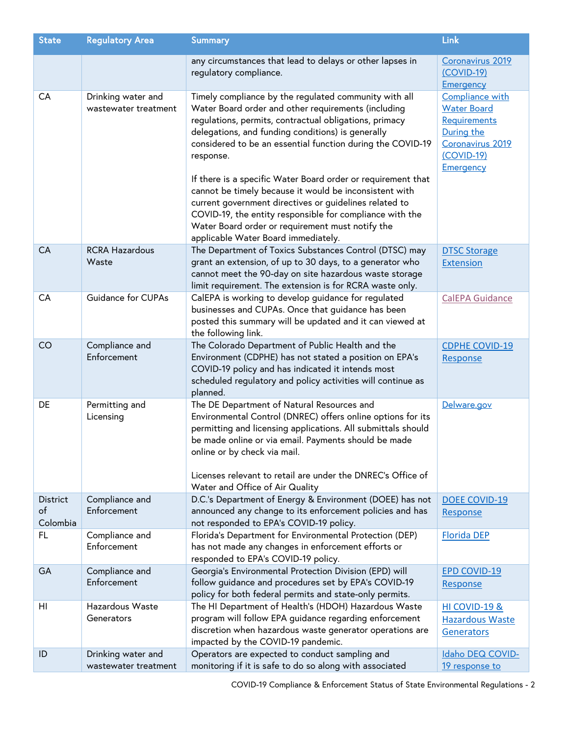| <b>State</b>                      | <b>Regulatory Area</b>                     | <b>Summary</b>                                                                                                                                                                                                                                                                                                                                                                                                                                                                                                                                                                                                                                    | Link                                                                                                                 |
|-----------------------------------|--------------------------------------------|---------------------------------------------------------------------------------------------------------------------------------------------------------------------------------------------------------------------------------------------------------------------------------------------------------------------------------------------------------------------------------------------------------------------------------------------------------------------------------------------------------------------------------------------------------------------------------------------------------------------------------------------------|----------------------------------------------------------------------------------------------------------------------|
|                                   |                                            | any circumstances that lead to delays or other lapses in<br>regulatory compliance.                                                                                                                                                                                                                                                                                                                                                                                                                                                                                                                                                                | Coronavirus 2019<br>(COVID-19)<br>Emergency                                                                          |
| CA                                | Drinking water and<br>wastewater treatment | Timely compliance by the regulated community with all<br>Water Board order and other requirements (including<br>regulations, permits, contractual obligations, primacy<br>delegations, and funding conditions) is generally<br>considered to be an essential function during the COVID-19<br>response.<br>If there is a specific Water Board order or requirement that<br>cannot be timely because it would be inconsistent with<br>current government directives or guidelines related to<br>COVID-19, the entity responsible for compliance with the<br>Water Board order or requirement must notify the<br>applicable Water Board immediately. | Compliance with<br><b>Water Board</b><br>Requirements<br>During the<br>Coronavirus 2019<br>$(COVID-19)$<br>Emergency |
| CA                                | <b>RCRA Hazardous</b><br>Waste             | The Department of Toxics Substances Control (DTSC) may<br>grant an extension, of up to 30 days, to a generator who<br>cannot meet the 90-day on site hazardous waste storage<br>limit requirement. The extension is for RCRA waste only.                                                                                                                                                                                                                                                                                                                                                                                                          | <b>DTSC Storage</b><br><b>Extension</b>                                                                              |
| CA                                | Guidance for CUPAs                         | CalEPA is working to develop guidance for regulated<br>businesses and CUPAs. Once that guidance has been<br>posted this summary will be updated and it can viewed at<br>the following link.                                                                                                                                                                                                                                                                                                                                                                                                                                                       | <b>CalEPA Guidance</b>                                                                                               |
| CO                                | Compliance and<br>Enforcement              | The Colorado Department of Public Health and the<br>Environment (CDPHE) has not stated a position on EPA's<br>COVID-19 policy and has indicated it intends most<br>scheduled regulatory and policy activities will continue as<br>planned.                                                                                                                                                                                                                                                                                                                                                                                                        | <b>CDPHE COVID-19</b><br>Response                                                                                    |
| DE                                | Permitting and<br>Licensing                | The DE Department of Natural Resources and<br>Environmental Control (DNREC) offers online options for its<br>permitting and licensing applications. All submittals should<br>be made online or via email. Payments should be made<br>online or by check via mail.<br>Licenses relevant to retail are under the DNREC's Office of<br>Water and Office of Air Quality                                                                                                                                                                                                                                                                               | Delware.gov                                                                                                          |
| <b>District</b><br>of<br>Colombia | Compliance and<br>Enforcement              | D.C.'s Department of Energy & Environment (DOEE) has not<br>announced any change to its enforcement policies and has<br>not responded to EPA's COVID-19 policy.                                                                                                                                                                                                                                                                                                                                                                                                                                                                                   | DOEE COVID-19<br>Response                                                                                            |
| FL                                | Compliance and<br>Enforcement              | Florida's Department for Environmental Protection (DEP)<br>has not made any changes in enforcement efforts or<br>responded to EPA's COVID-19 policy.                                                                                                                                                                                                                                                                                                                                                                                                                                                                                              | <b>Florida DEP</b>                                                                                                   |
| GA                                | Compliance and<br>Enforcement              | Georgia's Environmental Protection Division (EPD) will<br>follow guidance and procedures set by EPA's COVID-19<br>policy for both federal permits and state-only permits.                                                                                                                                                                                                                                                                                                                                                                                                                                                                         | <b>EPD COVID-19</b><br>Response                                                                                      |
| HI                                | Hazardous Waste<br>Generators              | The HI Department of Health's (HDOH) Hazardous Waste<br>program will follow EPA guidance regarding enforcement<br>discretion when hazardous waste generator operations are<br>impacted by the COVID-19 pandemic.                                                                                                                                                                                                                                                                                                                                                                                                                                  | HI COVID-19 &<br><b>Hazardous Waste</b><br>Generators                                                                |
| ID                                | Drinking water and<br>wastewater treatment | Operators are expected to conduct sampling and<br>monitoring if it is safe to do so along with associated                                                                                                                                                                                                                                                                                                                                                                                                                                                                                                                                         | Idaho DEQ COVID-<br>19 response to                                                                                   |

COVID-19 Compliance & Enforcement Status of State Environmental Regulations - 2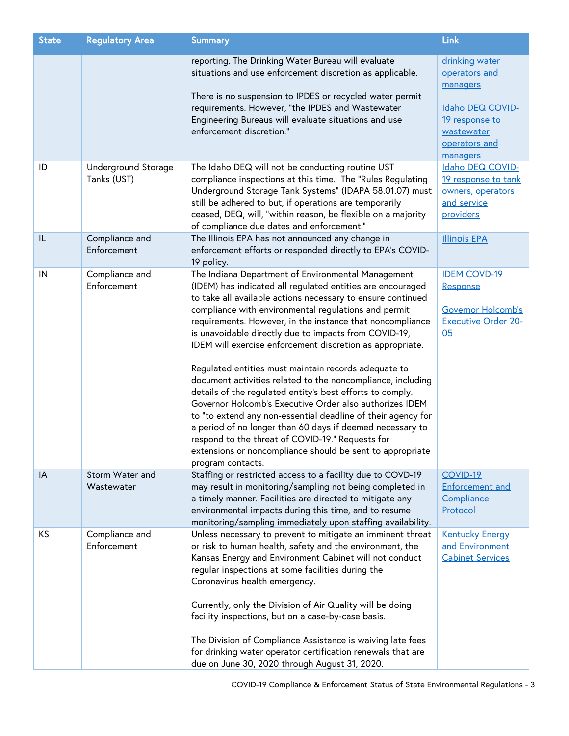| <b>State</b> | <b>Regulatory Area</b>             | <b>Summary</b>                                                                                                                                                                                                                                                                                                                                                                                                                                                                                                                                                                                                                                                                                                                                                                                                                                                                                                                               | Link                                                                                                                         |
|--------------|------------------------------------|----------------------------------------------------------------------------------------------------------------------------------------------------------------------------------------------------------------------------------------------------------------------------------------------------------------------------------------------------------------------------------------------------------------------------------------------------------------------------------------------------------------------------------------------------------------------------------------------------------------------------------------------------------------------------------------------------------------------------------------------------------------------------------------------------------------------------------------------------------------------------------------------------------------------------------------------|------------------------------------------------------------------------------------------------------------------------------|
|              |                                    | reporting. The Drinking Water Bureau will evaluate<br>situations and use enforcement discretion as applicable.<br>There is no suspension to IPDES or recycled water permit<br>requirements. However, "the IPDES and Wastewater<br>Engineering Bureaus will evaluate situations and use<br>enforcement discretion."                                                                                                                                                                                                                                                                                                                                                                                                                                                                                                                                                                                                                           | drinking water<br>operators and<br>managers<br>Idaho DEQ COVID-<br>19 response to<br>wastewater<br>operators and<br>managers |
| ID           | Underground Storage<br>Tanks (UST) | The Idaho DEQ will not be conducting routine UST<br>compliance inspections at this time. The "Rules Regulating<br>Underground Storage Tank Systems" (IDAPA 58.01.07) must<br>still be adhered to but, if operations are temporarily<br>ceased, DEQ, will, "within reason, be flexible on a majority<br>of compliance due dates and enforcement."                                                                                                                                                                                                                                                                                                                                                                                                                                                                                                                                                                                             | Idaho DEQ COVID-<br>19 response to tank<br>owners, operators<br>and service<br>providers                                     |
| IL           | Compliance and<br>Enforcement      | The Illinois EPA has not announced any change in<br>enforcement efforts or responded directly to EPA's COVID-<br>19 policy.                                                                                                                                                                                                                                                                                                                                                                                                                                                                                                                                                                                                                                                                                                                                                                                                                  | <b>Illinois EPA</b>                                                                                                          |
| IN           | Compliance and<br>Enforcement      | The Indiana Department of Environmental Management<br>(IDEM) has indicated all regulated entities are encouraged<br>to take all available actions necessary to ensure continued<br>compliance with environmental regulations and permit<br>requirements. However, in the instance that noncompliance<br>is unavoidable directly due to impacts from COVID-19,<br>IDEM will exercise enforcement discretion as appropriate.<br>Regulated entities must maintain records adequate to<br>document activities related to the noncompliance, including<br>details of the regulated entity's best efforts to comply.<br>Governor Holcomb's Executive Order also authorizes IDEM<br>to "to extend any non-essential deadline of their agency for<br>a period of no longer than 60 days if deemed necessary to<br>respond to the threat of COVID-19." Requests for<br>extensions or noncompliance should be sent to appropriate<br>program contacts. | <b>IDEM COVD-19</b><br>Response<br>Governor Holcomb's<br><b>Executive Order 20-</b><br>05                                    |
| IA           | Storm Water and<br>Wastewater      | Staffing or restricted access to a facility due to COVD-19<br>may result in monitoring/sampling not being completed in<br>a timely manner. Facilities are directed to mitigate any<br>environmental impacts during this time, and to resume<br>monitoring/sampling immediately upon staffing availability.                                                                                                                                                                                                                                                                                                                                                                                                                                                                                                                                                                                                                                   | COVID-19<br><b>Enforcement and</b><br>Compliance<br>Protocol                                                                 |
| KS           | Compliance and<br>Enforcement      | Unless necessary to prevent to mitigate an imminent threat<br>or risk to human health, safety and the environment, the<br>Kansas Energy and Environment Cabinet will not conduct<br>regular inspections at some facilities during the<br>Coronavirus health emergency.<br>Currently, only the Division of Air Quality will be doing<br>facility inspections, but on a case-by-case basis.<br>The Division of Compliance Assistance is waiving late fees<br>for drinking water operator certification renewals that are<br>due on June 30, 2020 through August 31, 2020.                                                                                                                                                                                                                                                                                                                                                                      | <b>Kentucky Energy</b><br>and Environment<br><b>Cabinet Services</b>                                                         |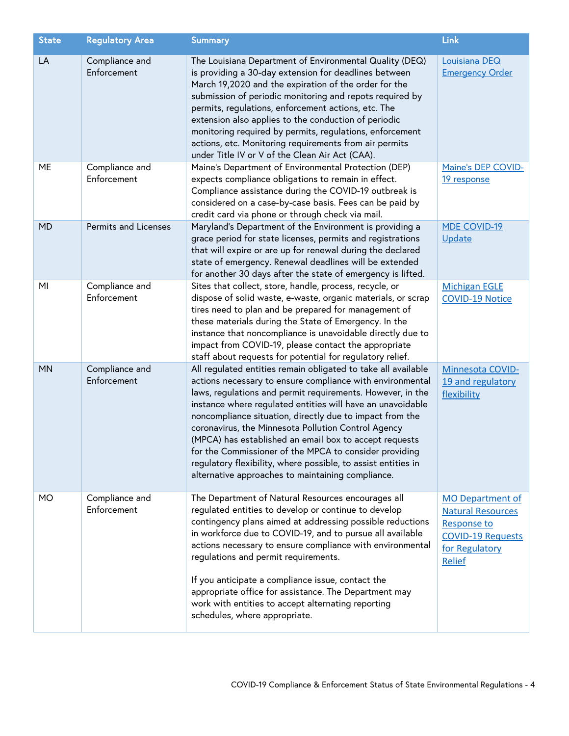| <b>State</b> | <b>Regulatory Area</b>        | <b>Summary</b>                                                                                                                                                                                                                                                                                                                                                                                                                                                                                                                                                                                                      | Link                                                                                                                                     |
|--------------|-------------------------------|---------------------------------------------------------------------------------------------------------------------------------------------------------------------------------------------------------------------------------------------------------------------------------------------------------------------------------------------------------------------------------------------------------------------------------------------------------------------------------------------------------------------------------------------------------------------------------------------------------------------|------------------------------------------------------------------------------------------------------------------------------------------|
| LA           | Compliance and<br>Enforcement | The Louisiana Department of Environmental Quality (DEQ)<br>is providing a 30-day extension for deadlines between<br>March 19,2020 and the expiration of the order for the<br>submission of periodic monitoring and repots required by<br>permits, regulations, enforcement actions, etc. The<br>extension also applies to the conduction of periodic<br>monitoring required by permits, regulations, enforcement<br>actions, etc. Monitoring requirements from air permits<br>under Title IV or V of the Clean Air Act (CAA).                                                                                       | Louisiana DEQ<br><b>Emergency Order</b>                                                                                                  |
| ME           | Compliance and<br>Enforcement | Maine's Department of Environmental Protection (DEP)<br>expects compliance obligations to remain in effect.<br>Compliance assistance during the COVID-19 outbreak is<br>considered on a case-by-case basis. Fees can be paid by<br>credit card via phone or through check via mail.                                                                                                                                                                                                                                                                                                                                 | Maine's DEP COVID-<br>19 response                                                                                                        |
| <b>MD</b>    | Permits and Licenses          | Maryland's Department of the Environment is providing a<br>grace period for state licenses, permits and registrations<br>that will expire or are up for renewal during the declared<br>state of emergency. Renewal deadlines will be extended<br>for another 30 days after the state of emergency is lifted.                                                                                                                                                                                                                                                                                                        | <b>MDE COVID-19</b><br>Update                                                                                                            |
| MI           | Compliance and<br>Enforcement | Sites that collect, store, handle, process, recycle, or<br>dispose of solid waste, e-waste, organic materials, or scrap<br>tires need to plan and be prepared for management of<br>these materials during the State of Emergency. In the<br>instance that noncompliance is unavoidable directly due to<br>impact from COVID-19, please contact the appropriate<br>staff about requests for potential for regulatory relief.                                                                                                                                                                                         | <b>Michigan EGLE</b><br>COVID-19 Notice                                                                                                  |
| <b>MN</b>    | Compliance and<br>Enforcement | All regulated entities remain obligated to take all available<br>actions necessary to ensure compliance with environmental<br>laws, regulations and permit requirements. However, in the<br>instance where regulated entities will have an unavoidable<br>noncompliance situation, directly due to impact from the<br>coronavirus, the Minnesota Pollution Control Agency<br>(MPCA) has established an email box to accept requests<br>for the Commissioner of the MPCA to consider providing<br>regulatory flexibility, where possible, to assist entities in<br>alternative approaches to maintaining compliance. | Minnesota COVID-<br>19 and regulatory<br>flexibility                                                                                     |
| <b>MO</b>    | Compliance and<br>Enforcement | The Department of Natural Resources encourages all<br>regulated entities to develop or continue to develop<br>contingency plans aimed at addressing possible reductions<br>in workforce due to COVID-19, and to pursue all available<br>actions necessary to ensure compliance with environmental<br>regulations and permit requirements.<br>If you anticipate a compliance issue, contact the<br>appropriate office for assistance. The Department may<br>work with entities to accept alternating reporting<br>schedules, where appropriate.                                                                      | <b>MO Department of</b><br><b>Natural Resources</b><br><b>Response to</b><br><b>COVID-19 Requests</b><br>for Regulatory<br><b>Relief</b> |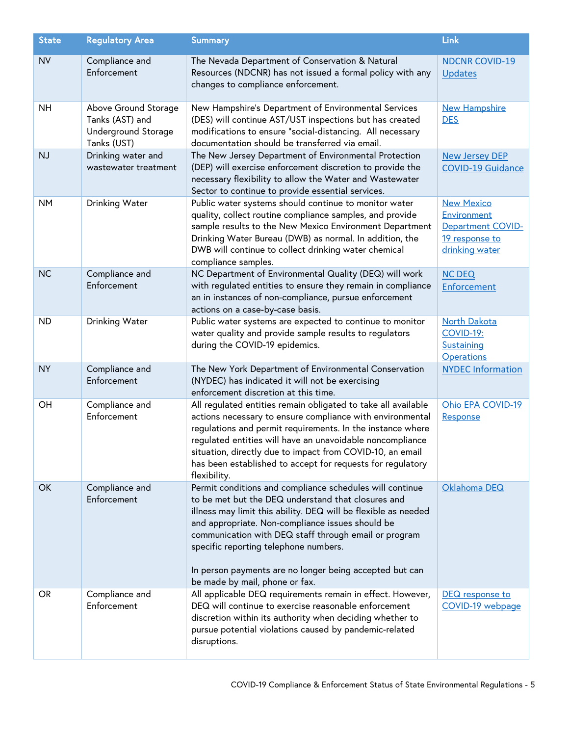| <b>State</b> | <b>Regulatory Area</b>                                                        | <b>Summary</b>                                                                                                                                                                                                                                                                                                                                                                                                                      | Link                                                                                             |
|--------------|-------------------------------------------------------------------------------|-------------------------------------------------------------------------------------------------------------------------------------------------------------------------------------------------------------------------------------------------------------------------------------------------------------------------------------------------------------------------------------------------------------------------------------|--------------------------------------------------------------------------------------------------|
| <b>NV</b>    | Compliance and<br>Enforcement                                                 | The Nevada Department of Conservation & Natural<br>Resources (NDCNR) has not issued a formal policy with any<br>changes to compliance enforcement.                                                                                                                                                                                                                                                                                  | <b>NDCNR COVID-19</b><br><b>Updates</b>                                                          |
| <b>NH</b>    | Above Ground Storage<br>Tanks (AST) and<br>Underground Storage<br>Tanks (UST) | New Hampshire's Department of Environmental Services<br>(DES) will continue AST/UST inspections but has created<br>modifications to ensure "social-distancing. All necessary<br>documentation should be transferred via email.                                                                                                                                                                                                      | <b>New Hampshire</b><br><b>DES</b>                                                               |
| <b>NJ</b>    | Drinking water and<br>wastewater treatment                                    | The New Jersey Department of Environmental Protection<br>(DEP) will exercise enforcement discretion to provide the<br>necessary flexibility to allow the Water and Wastewater<br>Sector to continue to provide essential services.                                                                                                                                                                                                  | <b>New Jersey DEP</b><br><b>COVID-19 Guidance</b>                                                |
| <b>NM</b>    | Drinking Water                                                                | Public water systems should continue to monitor water<br>quality, collect routine compliance samples, and provide<br>sample results to the New Mexico Environment Department<br>Drinking Water Bureau (DWB) as normal. In addition, the<br>DWB will continue to collect drinking water chemical<br>compliance samples.                                                                                                              | <b>New Mexico</b><br>Environment<br><b>Department COVID-</b><br>19 response to<br>drinking water |
| <b>NC</b>    | Compliance and<br>Enforcement                                                 | NC Department of Environmental Quality (DEQ) will work<br>with regulated entities to ensure they remain in compliance<br>an in instances of non-compliance, pursue enforcement<br>actions on a case-by-case basis.                                                                                                                                                                                                                  | <b>NC DEQ</b><br>Enforcement                                                                     |
| <b>ND</b>    | Drinking Water                                                                | Public water systems are expected to continue to monitor<br>water quality and provide sample results to regulators<br>during the COVID-19 epidemics.                                                                                                                                                                                                                                                                                | <b>North Dakota</b><br><b>COVID-19:</b><br>Sustaining<br><b>Operations</b>                       |
| <b>NY</b>    | Compliance and<br>Enforcement                                                 | The New York Department of Environmental Conservation<br>(NYDEC) has indicated it will not be exercising<br>enforcement discretion at this time.                                                                                                                                                                                                                                                                                    | <b>NYDEC Information</b>                                                                         |
| OH           | Compliance and<br>Enforcement                                                 | All regulated entities remain obligated to take all available<br>actions necessary to ensure compliance with environmental<br>regulations and permit requirements. In the instance where<br>regulated entities will have an unavoidable noncompliance<br>situation, directly due to impact from COVID-10, an email<br>has been established to accept for requests for regulatory<br>flexibility.                                    | Ohio EPA COVID-19<br>Response                                                                    |
| OK           | Compliance and<br>Enforcement                                                 | Permit conditions and compliance schedules will continue<br>to be met but the DEQ understand that closures and<br>illness may limit this ability. DEQ will be flexible as needed<br>and appropriate. Non-compliance issues should be<br>communication with DEQ staff through email or program<br>specific reporting telephone numbers.<br>In person payments are no longer being accepted but can<br>be made by mail, phone or fax. | Oklahoma DEQ                                                                                     |
| <b>OR</b>    | Compliance and<br>Enforcement                                                 | All applicable DEQ requirements remain in effect. However,<br>DEQ will continue to exercise reasonable enforcement<br>discretion within its authority when deciding whether to<br>pursue potential violations caused by pandemic-related<br>disruptions.                                                                                                                                                                            | DEQ response to<br>COVID-19 webpage                                                              |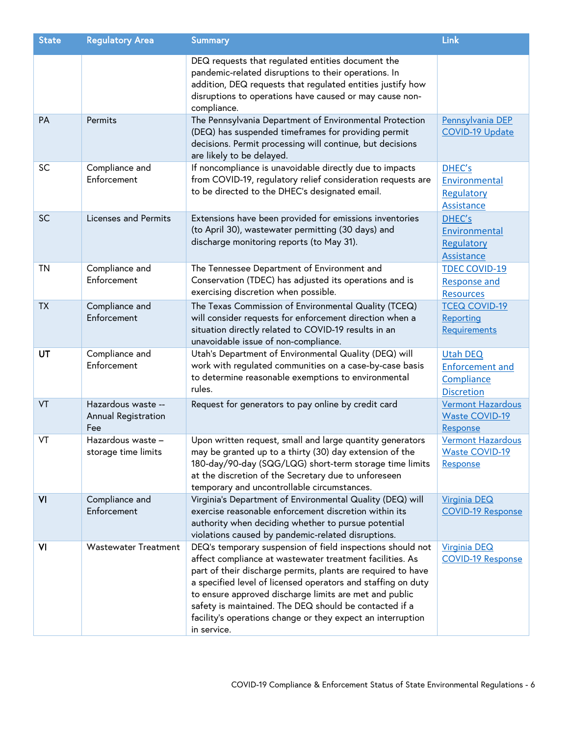| <b>State</b> | <b>Regulatory Area</b>                           | <b>Summary</b>                                                                                                                                                                                                                                                                                                                                                                                                                                           | Link                                                                         |
|--------------|--------------------------------------------------|----------------------------------------------------------------------------------------------------------------------------------------------------------------------------------------------------------------------------------------------------------------------------------------------------------------------------------------------------------------------------------------------------------------------------------------------------------|------------------------------------------------------------------------------|
|              |                                                  | DEQ requests that regulated entities document the<br>pandemic-related disruptions to their operations. In<br>addition, DEQ requests that regulated entities justify how<br>disruptions to operations have caused or may cause non-<br>compliance.                                                                                                                                                                                                        |                                                                              |
| PA           | Permits                                          | The Pennsylvania Department of Environmental Protection<br>(DEQ) has suspended timeframes for providing permit<br>decisions. Permit processing will continue, but decisions<br>are likely to be delayed.                                                                                                                                                                                                                                                 | Pennsylvania DEP<br><b>COVID-19 Update</b>                                   |
| SC           | Compliance and<br>Enforcement                    | If noncompliance is unavoidable directly due to impacts<br>from COVID-19, regulatory relief consideration requests are<br>to be directed to the DHEC's designated email.                                                                                                                                                                                                                                                                                 | DHEC's<br>Environmental<br>Regulatory<br>Assistance                          |
| SC           | Licenses and Permits                             | Extensions have been provided for emissions inventories<br>(to April 30), wastewater permitting (30 days) and<br>discharge monitoring reports (to May 31).                                                                                                                                                                                                                                                                                               | DHEC's<br>Environmental<br>Regulatory<br>Assistance                          |
| <b>TN</b>    | Compliance and<br>Enforcement                    | The Tennessee Department of Environment and<br>Conservation (TDEC) has adjusted its operations and is<br>exercising discretion when possible.                                                                                                                                                                                                                                                                                                            | <b>TDEC COVID-19</b><br><b>Response and</b><br><b>Resources</b>              |
| <b>TX</b>    | Compliance and<br>Enforcement                    | The Texas Commission of Environmental Quality (TCEQ)<br>will consider requests for enforcement direction when a<br>situation directly related to COVID-19 results in an<br>unavoidable issue of non-compliance.                                                                                                                                                                                                                                          | <b>TCEQ COVID-19</b><br>Reporting<br>Requirements                            |
| UT           | Compliance and<br>Enforcement                    | Utah's Department of Environmental Quality (DEQ) will<br>work with regulated communities on a case-by-case basis<br>to determine reasonable exemptions to environmental<br>rules.                                                                                                                                                                                                                                                                        | <b>Utah DEQ</b><br><b>Enforcement and</b><br>Compliance<br><b>Discretion</b> |
| VT           | Hazardous waste --<br>Annual Registration<br>Fee | Request for generators to pay online by credit card                                                                                                                                                                                                                                                                                                                                                                                                      | Vermont Hazardous<br><b>Waste COVID-19</b><br>Response                       |
| VT           | Hazardous waste -<br>storage time limits         | Upon written request, small and large quantity generators<br>may be granted up to a thirty (30) day extension of the<br>180-day/90-day (SQG/LQG) short-term storage time limits<br>at the discretion of the Secretary due to unforeseen<br>temporary and uncontrollable circumstances.                                                                                                                                                                   | <b>Vermont Hazardous</b><br><b>Waste COVID-19</b><br>Response                |
| VI           | Compliance and<br>Enforcement                    | Virginia's Department of Environmental Quality (DEQ) will<br>exercise reasonable enforcement discretion within its<br>authority when deciding whether to pursue potential<br>violations caused by pandemic-related disruptions.                                                                                                                                                                                                                          | <b>Virginia DEQ</b><br><b>COVID-19 Response</b>                              |
| VI           | <b>Wastewater Treatment</b>                      | DEQ's temporary suspension of field inspections should not<br>affect compliance at wastewater treatment facilities. As<br>part of their discharge permits, plants are required to have<br>a specified level of licensed operators and staffing on duty<br>to ensure approved discharge limits are met and public<br>safety is maintained. The DEQ should be contacted if a<br>facility's operations change or they expect an interruption<br>in service. | <b>Virginia DEQ</b><br><b>COVID-19 Response</b>                              |